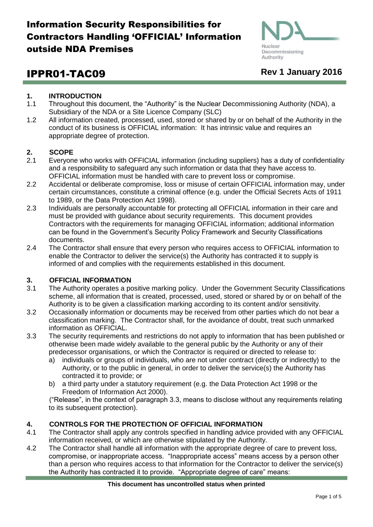

# IPPR01-TAC09 **Rev 1 January 2016**

## **1. INTRODUCTION**

- 1.1 Throughout this document, the "Authority" is the Nuclear Decommissioning Authority (NDA), a Subsidiary of the NDA or a Site Licence Company (SLC)
- 1.2 All information created, processed, used, stored or shared by or on behalf of the Authority in the conduct of its business is OFFICIAL information: It has intrinsic value and requires an appropriate degree of protection.

## **2. SCOPE**

- 2.1 Everyone who works with OFFICIAL information (including suppliers) has a duty of confidentiality and a responsibility to safeguard any such information or data that they have access to. OFFICIAL information must be handled with care to prevent loss or compromise.
- 2.2 Accidental or deliberate compromise, loss or misuse of certain OFFICIAL information may, under certain circumstances, constitute a criminal offence (e.g. under the Official Secrets Acts of 1911 to 1989, or the Data Protection Act 1998).
- 2.3 Individuals are personally accountable for protecting all OFFICIAL information in their care and must be provided with guidance about security requirements. This document provides Contractors with the requirements for managing OFFICIAL information; additional information can be found in the Government's Security Policy Framework and Security Classifications documents.
- 2.4 The Contractor shall ensure that every person who requires access to OFFICIAL information to enable the Contractor to deliver the service(s) the Authority has contracted it to supply is informed of and complies with the requirements established in this document.

## **3. OFFICIAL INFORMATION**

- 3.1 The Authority operates a positive marking policy. Under the Government Security Classifications scheme, all information that is created, processed, used, stored or shared by or on behalf of the Authority is to be given a classification marking according to its content and/or sensitivity.
- 3.2 Occasionally information or documents may be received from other parties which do not bear a classification marking. The Contractor shall, for the avoidance of doubt, treat such unmarked information as OFFICIAL.
- 3.3 The security requirements and restrictions do not apply to information that has been published or otherwise been made widely available to the general public by the Authority or any of their predecessor organisations, or which the Contractor is required or directed to release to:
	- a) individuals or groups of individuals, who are not under contract (directly or indirectly) to the Authority, or to the public in general, in order to deliver the service(s) the Authority has contracted it to provide; or
	- b) a third party under a statutory requirement (e.g. the Data Protection Act 1998 or the Freedom of Information Act 2000).

("Release", in the context of paragraph 3.3, means to disclose without any requirements relating to its subsequent protection).

## **4. CONTROLS FOR THE PROTECTION OF OFFICIAL INFORMATION**

- 4.1 The Contractor shall apply any controls specified in handling advice provided with any OFFICIAL information received, or which are otherwise stipulated by the Authority.
- 4.2 The Contractor shall handle all information with the appropriate degree of care to prevent loss, compromise, or inappropriate access. "Inappropriate access" means access by a person other than a person who requires access to that information for the Contractor to deliver the service(s) the Authority has contracted it to provide. "Appropriate degree of care" means: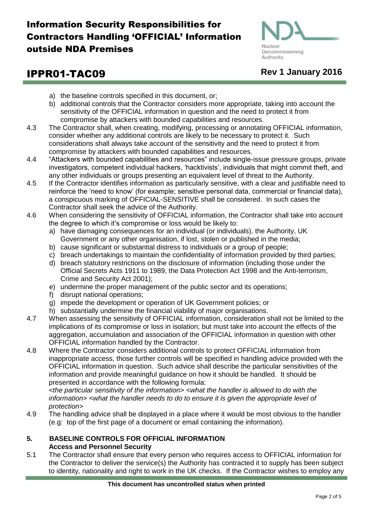

# IPPR01-TAC09 **Rev 1 January 2016**

- a) the baseline controls specified in this document, or;
- b) additional controls that the Contractor considers more appropriate, taking into account the sensitivity of the OFFICIAL information in question and the need to protect it from compromise by attackers with bounded capabilities and resources.
- 4.3 The Contractor shall, when creating, modifying, processing or annotating OFFICIAL information, consider whether any additional controls are likely to be necessary to protect it. Such considerations shall always take account of the sensitivity and the need to protect it from compromise by attackers with bounded capabilities and resources.
- 4.4 "Attackers with bounded capabilities and resources" include single-issue pressure groups, private investigators, competent individual hackers, 'hacktivists', individuals that might commit theft, and any other individuals or groups presenting an equivalent level of threat to the Authority.
- 4.5 If the Contractor identifies information as particularly sensitive, with a clear and justifiable need to reinforce the 'need to know' (for example; sensitive personal data, commercial or financial data), a conspicuous marking of OFFICIAL-SENSITIVE shall be considered. In such cases the Contractor shall seek the advice of the Authority.
- 4.6 When considering the sensitivity of OFFICIAL information, the Contractor shall take into account the degree to which it's compromise or loss would be likely to:
	- a) have damaging consequences for an individual (or individuals), the Authority, UK Government or any other organisation, if lost, stolen or published in the media;
	- b) cause significant or substantial distress to individuals or a group of people;
	- c) breach undertakings to maintain the confidentiality of information provided by third parties;
	- d) breach statutory restrictions on the disclosure of information (including those under the Official Secrets Acts 1911 to 1989, the Data Protection Act 1998 and the Anti-terrorism, Crime and Security Act 2001);
	- e) undermine the proper management of the public sector and its operations;
	- f) disrupt national operations;
	- g) impede the development or operation of UK Government policies; or
	- h) substantially undermine the financial viability of major organisations.
- 4.7 When assessing the sensitivity of OFFICIAL information, consideration shall not be limited to the implications of its compromise or loss in isolation; but must take into account the effects of the aggregation, accumulation and association of the OFFICIAL information in question with other OFFICIAL information handled by the Contractor.
- 4.8 Where the Contractor considers additional controls to protect OFFICIAL information from inappropriate access, those further controls will be specified in handling advice provided with the OFFICIAL information in question. Such advice shall describe the particular sensitivities of the information and provide meaningful guidance on how it should be handled. It should be presented in accordance with the following formula:

*<the particular sensitivity of the information> <what the handler is allowed to do with the information> <what the handler needs to do to ensure it is given the appropriate level of protection>*

4.9 The handling advice shall be displayed in a place where it would be most obvious to the handler (e.g: top of the first page of a document or email containing the information).

## **5. BASELINE CONTROLS FOR OFFICIAL INFORMATION Access and Personnel Security**

5.1 The Contractor shall ensure that every person who requires access to OFFICIAL information for the Contractor to deliver the service(s) the Authority has contracted it to supply has been subject to identity, nationality and right to work in the UK checks. If the Contractor wishes to employ any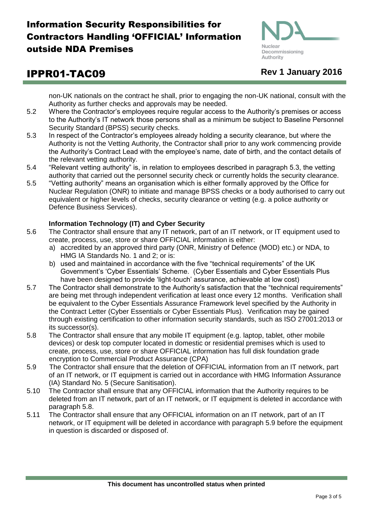

# IPPR01-TAC09 **Rev 1 January 2016**

non-UK nationals on the contract he shall, prior to engaging the non-UK national, consult with the Authority as further checks and approvals may be needed.

- 5.2 Where the Contractor's employees require regular access to the Authority's premises or access to the Authority's IT network those persons shall as a minimum be subject to Baseline Personnel Security Standard (BPSS) security checks.
- 5.3 In respect of the Contractor's employees already holding a security clearance, but where the Authority is not the Vetting Authority, the Contractor shall prior to any work commencing provide the Authority's Contract Lead with the employee's name, date of birth, and the contact details of the relevant vetting authority.
- 5.4 "Relevant vetting authority" is, in relation to employees described in paragraph 5.3, the vetting authority that carried out the personnel security check or currently holds the security clearance.
- 5.5 "Vetting authority" means an organisation which is either formally approved by the Office for Nuclear Regulation (ONR) to initiate and manage BPSS checks or a body authorised to carry out equivalent or higher levels of checks, security clearance or vetting (e.g. a police authority or Defence Business Services).

## **Information Technology (IT) and Cyber Security**

- 5.6 The Contractor shall ensure that any IT network, part of an IT network, or IT equipment used to create, process, use, store or share OFFICIAL information is either:
	- a) accredited by an approved third party (ONR, Ministry of Defence (MOD) etc.) or NDA, to HMG IA Standards No. 1 and 2; or is:
	- b) used and maintained in accordance with the five "technical requirements" of the UK Government's 'Cyber Essentials' Scheme. (Cyber Essentials and Cyber Essentials Plus have been designed to provide 'light-touch' assurance, achievable at low cost)
- 5.7 The Contractor shall demonstrate to the Authority's satisfaction that the "technical requirements" are being met through independent verification at least once every 12 months. Verification shall be equivalent to the Cyber Essentials Assurance Framework level specified by the Authority in the Contract Letter (Cyber Essentials or Cyber Essentials Plus). Verification may be gained through existing certification to other information security standards, such as ISO 27001:2013 or its successor(s).
- 5.8 The Contractor shall ensure that any mobile IT equipment (e.g. laptop, tablet, other mobile devices) or desk top computer located in domestic or residential premises which is used to create, process, use, store or share OFFICIAL information has full disk foundation grade encryption to Commercial Product Assurance (CPA)
- 5.9 The Contractor shall ensure that the deletion of OFFICIAL information from an IT network, part of an IT network, or IT equipment is carried out in accordance with HMG Information Assurance (IA) Standard No. 5 (Secure Sanitisation).
- 5.10 The Contractor shall ensure that any OFFICIAL information that the Authority requires to be deleted from an IT network, part of an IT network, or IT equipment is deleted in accordance with paragraph 5.8.
- 5.11 The Contractor shall ensure that any OFFICIAL information on an IT network, part of an IT network, or IT equipment will be deleted in accordance with paragraph 5.9 before the equipment in question is discarded or disposed of.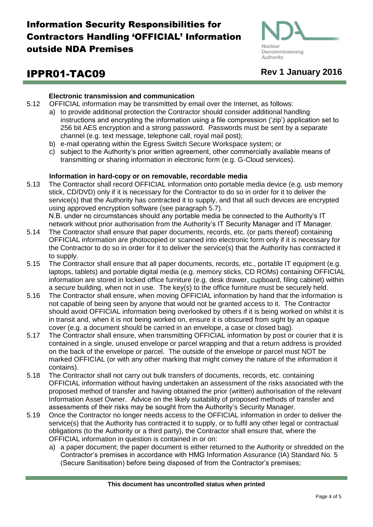

# IPPR01-TAC09 **Rev 1 January 2016**

## **Electronic transmission and communication**

- 5.12 OFFICIAL information may be transmitted by email over the Internet, as follows:
	- a) to provide additional protection the Contractor should consider additional handling instructions and encrypting the information using a file compression ('zip') application set to 256 bit AES encryption and a strong password. Passwords must be sent by a separate channel (e.g. text message, telephone call, royal mail post);
	- b) e-mail operating within the Egress Switch Secure Workspace system; or
	- c) subject to the Authority's prior written agreement, other commercially available means of transmitting or sharing information in electronic form (e.g. G-Cloud services).

## **Information in hard-copy or on removable, recordable media**

5.13 The Contractor shall record OFFICIAL information onto portable media device (e.g. usb memory stick, CD/DVD) only if it is necessary for the Contractor to do so in order for it to deliver the service(s) that the Authority has contracted it to supply, and that all such devices are encrypted using approved encryption software (see paragraph 5.7). N.B. under no circumstances should any portable media be connected to the Authority's IT

network without prior authorisation from the Authority's IT Security Manager and IT Manager.

- 5.14 The Contractor shall ensure that paper documents, records, etc. (or parts thereof) containing OFFICIAL information are photocopied or scanned into electronic form only if it is necessary for the Contractor to do so in order for it to deliver the service(s) that the Authority has contracted it to supply.
- 5.15 The Contractor shall ensure that all paper documents, records, etc., portable IT equipment (e.g. laptops, tablets) and portable digital media (e.g. memory sticks, CD ROMs) containing OFFICIAL information are stored in locked office furniture (e.g. desk drawer, cupboard, filing cabinet) within a secure building, when not in use. The key(s) to the office furniture must be securely held.
- 5.16 The Contractor shall ensure, when moving OFFICIAL information by hand that the information is not capable of being seen by anyone that would not be granted access to it. The Contractor should avoid OFFICIAL information being overlooked by others if it is being worked on whilst it is in transit and, when it is not being worked on, ensure it is obscured from sight by an opaque cover (e.g. a document should be carried in an envelope, a case or closed bag).
- 5.17 The Contractor shall ensure, when transmitting OFFICIAL information by post or courier that it is contained in a single, unused envelope or parcel wrapping and that a return address is provided on the back of the envelope or parcel. The outside of the envelope or parcel must NOT be marked OFFICIAL (or with any other marking that might convey the nature of the information it contains).
- 5.18 The Contractor shall not carry out bulk transfers of documents, records, etc. containing OFFICIAL information without having undertaken an assessment of the risks associated with the proposed method of transfer and having obtained the prior (written) authorisation of the relevant Information Asset Owner. Advice on the likely suitability of proposed methods of transfer and assessments of their risks may be sought from the Authority's Security Manager.
- 5.19 Once the Contractor no longer needs access to the OFFICIAL information in order to deliver the service(s) that the Authority has contracted it to supply, or to fulfil any other legal or contractual obligations (to the Authority or a third party), the Contractor shall ensure that, where the OFFICIAL information in question is contained in or on:
	- a) a paper document; the paper document is either returned to the Authority or shredded on the Contractor's premises in accordance with HMG Information Assurance (IA) Standard No. 5 (Secure Sanitisation) before being disposed of from the Contractor's premises;